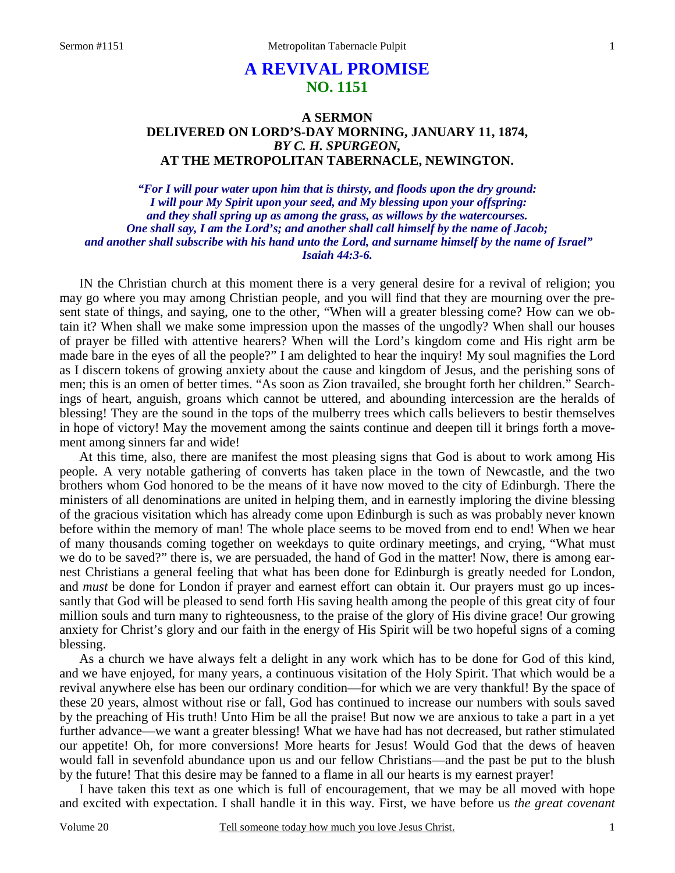# **A REVIVAL PROMISE NO. 1151**

# **A SERMON DELIVERED ON LORD'S-DAY MORNING, JANUARY 11, 1874,**  *BY C. H. SPURGEON,*  **AT THE METROPOLITAN TABERNACLE, NEWINGTON.**

*"For I will pour water upon him that is thirsty, and floods upon the dry ground: I will pour My Spirit upon your seed, and My blessing upon your offspring: and they shall spring up as among the grass, as willows by the watercourses. One shall say, I am the Lord's; and another shall call himself by the name of Jacob; and another shall subscribe with his hand unto the Lord, and surname himself by the name of Israel" Isaiah 44:3-6.* 

IN the Christian church at this moment there is a very general desire for a revival of religion; you may go where you may among Christian people, and you will find that they are mourning over the present state of things, and saying, one to the other, "When will a greater blessing come? How can we obtain it? When shall we make some impression upon the masses of the ungodly? When shall our houses of prayer be filled with attentive hearers? When will the Lord's kingdom come and His right arm be made bare in the eyes of all the people?" I am delighted to hear the inquiry! My soul magnifies the Lord as I discern tokens of growing anxiety about the cause and kingdom of Jesus, and the perishing sons of men; this is an omen of better times. "As soon as Zion travailed, she brought forth her children." Searchings of heart, anguish, groans which cannot be uttered, and abounding intercession are the heralds of blessing! They are the sound in the tops of the mulberry trees which calls believers to bestir themselves in hope of victory! May the movement among the saints continue and deepen till it brings forth a movement among sinners far and wide!

At this time, also, there are manifest the most pleasing signs that God is about to work among His people. A very notable gathering of converts has taken place in the town of Newcastle, and the two brothers whom God honored to be the means of it have now moved to the city of Edinburgh. There the ministers of all denominations are united in helping them, and in earnestly imploring the divine blessing of the gracious visitation which has already come upon Edinburgh is such as was probably never known before within the memory of man! The whole place seems to be moved from end to end! When we hear of many thousands coming together on weekdays to quite ordinary meetings, and crying, "What must we do to be saved?" there is, we are persuaded, the hand of God in the matter! Now, there is among earnest Christians a general feeling that what has been done for Edinburgh is greatly needed for London, and *must* be done for London if prayer and earnest effort can obtain it. Our prayers must go up incessantly that God will be pleased to send forth His saving health among the people of this great city of four million souls and turn many to righteousness, to the praise of the glory of His divine grace! Our growing anxiety for Christ's glory and our faith in the energy of His Spirit will be two hopeful signs of a coming blessing.

As a church we have always felt a delight in any work which has to be done for God of this kind, and we have enjoyed, for many years, a continuous visitation of the Holy Spirit. That which would be a revival anywhere else has been our ordinary condition—for which we are very thankful! By the space of these 20 years, almost without rise or fall, God has continued to increase our numbers with souls saved by the preaching of His truth! Unto Him be all the praise! But now we are anxious to take a part in a yet further advance—we want a greater blessing! What we have had has not decreased, but rather stimulated our appetite! Oh, for more conversions! More hearts for Jesus! Would God that the dews of heaven would fall in sevenfold abundance upon us and our fellow Christians—and the past be put to the blush by the future! That this desire may be fanned to a flame in all our hearts is my earnest prayer!

I have taken this text as one which is full of encouragement, that we may be all moved with hope and excited with expectation. I shall handle it in this way. First, we have before us *the great covenant*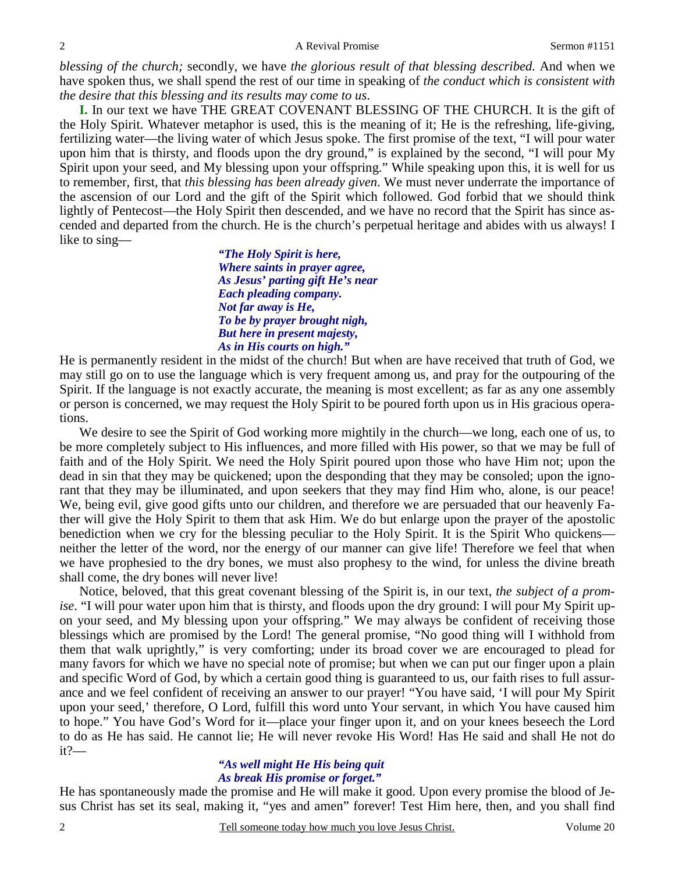*blessing of the church;* secondly, we have *the glorious result of that blessing described.* And when we have spoken thus, we shall spend the rest of our time in speaking of *the conduct which is consistent with the desire that this blessing and its results may come to us*.

**I.** In our text we have THE GREAT COVENANT BLESSING OF THE CHURCH. It is the gift of the Holy Spirit. Whatever metaphor is used, this is the meaning of it; He is the refreshing, life-giving, fertilizing water—the living water of which Jesus spoke. The first promise of the text, "I will pour water upon him that is thirsty, and floods upon the dry ground," is explained by the second, "I will pour My Spirit upon your seed, and My blessing upon your offspring." While speaking upon this, it is well for us to remember, first, that *this blessing has been already given*. We must never underrate the importance of the ascension of our Lord and the gift of the Spirit which followed. God forbid that we should think lightly of Pentecost—the Holy Spirit then descended, and we have no record that the Spirit has since ascended and departed from the church. He is the church's perpetual heritage and abides with us always! I like to sing—

> *"The Holy Spirit is here, Where saints in prayer agree, As Jesus' parting gift He's near Each pleading company. Not far away is He, To be by prayer brought nigh, But here in present majesty, As in His courts on high."*

He is permanently resident in the midst of the church! But when are have received that truth of God, we may still go on to use the language which is very frequent among us, and pray for the outpouring of the Spirit. If the language is not exactly accurate, the meaning is most excellent; as far as any one assembly or person is concerned, we may request the Holy Spirit to be poured forth upon us in His gracious operations.

 We desire to see the Spirit of God working more mightily in the church—we long, each one of us, to be more completely subject to His influences, and more filled with His power, so that we may be full of faith and of the Holy Spirit. We need the Holy Spirit poured upon those who have Him not; upon the dead in sin that they may be quickened; upon the desponding that they may be consoled; upon the ignorant that they may be illuminated, and upon seekers that they may find Him who, alone, is our peace! We, being evil, give good gifts unto our children, and therefore we are persuaded that our heavenly Father will give the Holy Spirit to them that ask Him. We do but enlarge upon the prayer of the apostolic benediction when we cry for the blessing peculiar to the Holy Spirit. It is the Spirit Who quickens neither the letter of the word, nor the energy of our manner can give life! Therefore we feel that when we have prophesied to the dry bones, we must also prophesy to the wind, for unless the divine breath shall come, the dry bones will never live!

Notice, beloved, that this great covenant blessing of the Spirit is, in our text, *the subject of a promise*. "I will pour water upon him that is thirsty, and floods upon the dry ground: I will pour My Spirit upon your seed, and My blessing upon your offspring." We may always be confident of receiving those blessings which are promised by the Lord! The general promise, "No good thing will I withhold from them that walk uprightly," is very comforting; under its broad cover we are encouraged to plead for many favors for which we have no special note of promise; but when we can put our finger upon a plain and specific Word of God, by which a certain good thing is guaranteed to us, our faith rises to full assurance and we feel confident of receiving an answer to our prayer! "You have said, 'I will pour My Spirit upon your seed,' therefore, O Lord, fulfill this word unto Your servant, in which You have caused him to hope." You have God's Word for it—place your finger upon it, and on your knees beseech the Lord to do as He has said. He cannot lie; He will never revoke His Word! Has He said and shall He not do it?—

#### *"As well might He His being quit As break His promise or forget."*

He has spontaneously made the promise and He will make it good. Upon every promise the blood of Jesus Christ has set its seal, making it, "yes and amen" forever! Test Him here, then, and you shall find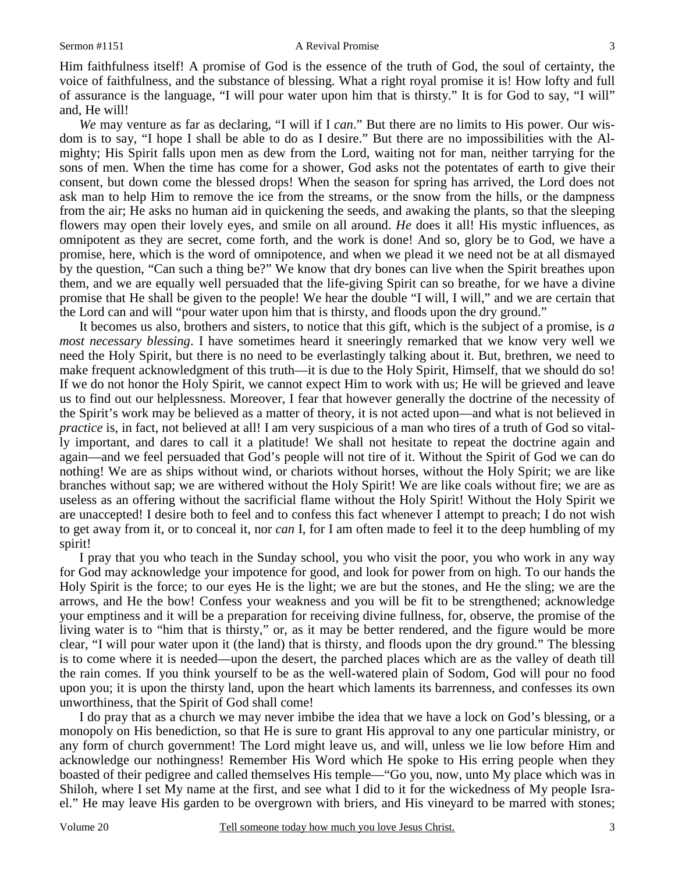#### Sermon #1151 A Revival Promise

Him faithfulness itself! A promise of God is the essence of the truth of God, the soul of certainty, the voice of faithfulness, and the substance of blessing. What a right royal promise it is! How lofty and full of assurance is the language, "I will pour water upon him that is thirsty." It is for God to say, "I will" and, He will!

*We* may venture as far as declaring, "I will if I *can*." But there are no limits to His power. Our wisdom is to say, "I hope I shall be able to do as I desire." But there are no impossibilities with the Almighty; His Spirit falls upon men as dew from the Lord, waiting not for man, neither tarrying for the sons of men. When the time has come for a shower, God asks not the potentates of earth to give their consent, but down come the blessed drops! When the season for spring has arrived, the Lord does not ask man to help Him to remove the ice from the streams, or the snow from the hills, or the dampness from the air; He asks no human aid in quickening the seeds, and awaking the plants, so that the sleeping flowers may open their lovely eyes, and smile on all around. *He* does it all! His mystic influences, as omnipotent as they are secret, come forth, and the work is done! And so, glory be to God, we have a promise, here, which is the word of omnipotence, and when we plead it we need not be at all dismayed by the question, "Can such a thing be?" We know that dry bones can live when the Spirit breathes upon them, and we are equally well persuaded that the life-giving Spirit can so breathe, for we have a divine promise that He shall be given to the people! We hear the double "I will, I will," and we are certain that the Lord can and will "pour water upon him that is thirsty, and floods upon the dry ground."

It becomes us also, brothers and sisters, to notice that this gift, which is the subject of a promise, is *a most necessary blessing*. I have sometimes heard it sneeringly remarked that we know very well we need the Holy Spirit, but there is no need to be everlastingly talking about it. But, brethren, we need to make frequent acknowledgment of this truth—it is due to the Holy Spirit, Himself, that we should do so! If we do not honor the Holy Spirit, we cannot expect Him to work with us; He will be grieved and leave us to find out our helplessness. Moreover, I fear that however generally the doctrine of the necessity of the Spirit's work may be believed as a matter of theory, it is not acted upon—and what is not believed in *practice* is, in fact, not believed at all! I am very suspicious of a man who tires of a truth of God so vitally important, and dares to call it a platitude! We shall not hesitate to repeat the doctrine again and again—and we feel persuaded that God's people will not tire of it. Without the Spirit of God we can do nothing! We are as ships without wind, or chariots without horses, without the Holy Spirit; we are like branches without sap; we are withered without the Holy Spirit! We are like coals without fire; we are as useless as an offering without the sacrificial flame without the Holy Spirit! Without the Holy Spirit we are unaccepted! I desire both to feel and to confess this fact whenever I attempt to preach; I do not wish to get away from it, or to conceal it, nor *can* I, for I am often made to feel it to the deep humbling of my spirit!

I pray that you who teach in the Sunday school, you who visit the poor, you who work in any way for God may acknowledge your impotence for good, and look for power from on high. To our hands the Holy Spirit is the force; to our eyes He is the light; we are but the stones, and He the sling; we are the arrows, and He the bow! Confess your weakness and you will be fit to be strengthened; acknowledge your emptiness and it will be a preparation for receiving divine fullness, for, observe, the promise of the living water is to "him that is thirsty," or, as it may be better rendered, and the figure would be more clear, "I will pour water upon it (the land) that is thirsty, and floods upon the dry ground." The blessing is to come where it is needed—upon the desert, the parched places which are as the valley of death till the rain comes. If you think yourself to be as the well-watered plain of Sodom, God will pour no food upon you; it is upon the thirsty land, upon the heart which laments its barrenness, and confesses its own unworthiness, that the Spirit of God shall come!

I do pray that as a church we may never imbibe the idea that we have a lock on God's blessing, or a monopoly on His benediction, so that He is sure to grant His approval to any one particular ministry, or any form of church government! The Lord might leave us, and will, unless we lie low before Him and acknowledge our nothingness! Remember His Word which He spoke to His erring people when they boasted of their pedigree and called themselves His temple—"Go you, now, unto My place which was in Shiloh, where I set My name at the first, and see what I did to it for the wickedness of My people Israel." He may leave His garden to be overgrown with briers, and His vineyard to be marred with stones;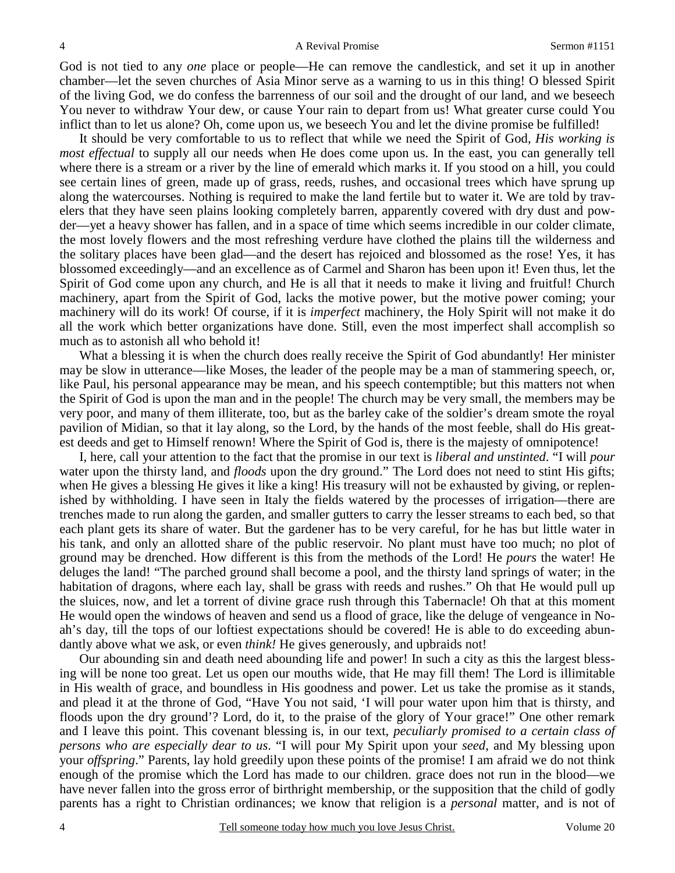God is not tied to any *one* place or people—He can remove the candlestick, and set it up in another chamber—let the seven churches of Asia Minor serve as a warning to us in this thing! O blessed Spirit of the living God, we do confess the barrenness of our soil and the drought of our land, and we beseech You never to withdraw Your dew, or cause Your rain to depart from us! What greater curse could You inflict than to let us alone? Oh, come upon us, we beseech You and let the divine promise be fulfilled!

It should be very comfortable to us to reflect that while we need the Spirit of God, *His working is most effectual* to supply all our needs when He does come upon us. In the east, you can generally tell where there is a stream or a river by the line of emerald which marks it. If you stood on a hill, you could see certain lines of green, made up of grass, reeds, rushes, and occasional trees which have sprung up along the watercourses. Nothing is required to make the land fertile but to water it. We are told by travelers that they have seen plains looking completely barren, apparently covered with dry dust and powder—yet a heavy shower has fallen, and in a space of time which seems incredible in our colder climate, the most lovely flowers and the most refreshing verdure have clothed the plains till the wilderness and the solitary places have been glad—and the desert has rejoiced and blossomed as the rose! Yes, it has blossomed exceedingly—and an excellence as of Carmel and Sharon has been upon it! Even thus, let the Spirit of God come upon any church, and He is all that it needs to make it living and fruitful! Church machinery, apart from the Spirit of God, lacks the motive power, but the motive power coming; your machinery will do its work! Of course, if it is *imperfect* machinery, the Holy Spirit will not make it do all the work which better organizations have done. Still, even the most imperfect shall accomplish so much as to astonish all who behold it!

What a blessing it is when the church does really receive the Spirit of God abundantly! Her minister may be slow in utterance—like Moses, the leader of the people may be a man of stammering speech, or, like Paul, his personal appearance may be mean, and his speech contemptible; but this matters not when the Spirit of God is upon the man and in the people! The church may be very small, the members may be very poor, and many of them illiterate, too, but as the barley cake of the soldier's dream smote the royal pavilion of Midian, so that it lay along, so the Lord, by the hands of the most feeble, shall do His greatest deeds and get to Himself renown! Where the Spirit of God is, there is the majesty of omnipotence!

I, here, call your attention to the fact that the promise in our text is *liberal and unstinted*. "I will *pour*  water upon the thirsty land, and *floods* upon the dry ground." The Lord does not need to stint His gifts; when He gives a blessing He gives it like a king! His treasury will not be exhausted by giving, or replenished by withholding. I have seen in Italy the fields watered by the processes of irrigation—there are trenches made to run along the garden, and smaller gutters to carry the lesser streams to each bed, so that each plant gets its share of water. But the gardener has to be very careful, for he has but little water in his tank, and only an allotted share of the public reservoir. No plant must have too much; no plot of ground may be drenched. How different is this from the methods of the Lord! He *pours* the water! He deluges the land! "The parched ground shall become a pool, and the thirsty land springs of water; in the habitation of dragons, where each lay, shall be grass with reeds and rushes." Oh that He would pull up the sluices, now, and let a torrent of divine grace rush through this Tabernacle! Oh that at this moment He would open the windows of heaven and send us a flood of grace, like the deluge of vengeance in Noah's day, till the tops of our loftiest expectations should be covered! He is able to do exceeding abundantly above what we ask, or even *think!* He gives generously, and upbraids not!

Our abounding sin and death need abounding life and power! In such a city as this the largest blessing will be none too great. Let us open our mouths wide, that He may fill them! The Lord is illimitable in His wealth of grace, and boundless in His goodness and power. Let us take the promise as it stands, and plead it at the throne of God, "Have You not said, 'I will pour water upon him that is thirsty, and floods upon the dry ground'? Lord, do it, to the praise of the glory of Your grace!" One other remark and I leave this point. This covenant blessing is, in our text, *peculiarly promised to a certain class of persons who are especially dear to us*. "I will pour My Spirit upon your *seed*, and My blessing upon your *offspring*." Parents, lay hold greedily upon these points of the promise! I am afraid we do not think enough of the promise which the Lord has made to our children. grace does not run in the blood—we have never fallen into the gross error of birthright membership, or the supposition that the child of godly parents has a right to Christian ordinances; we know that religion is a *personal* matter, and is not of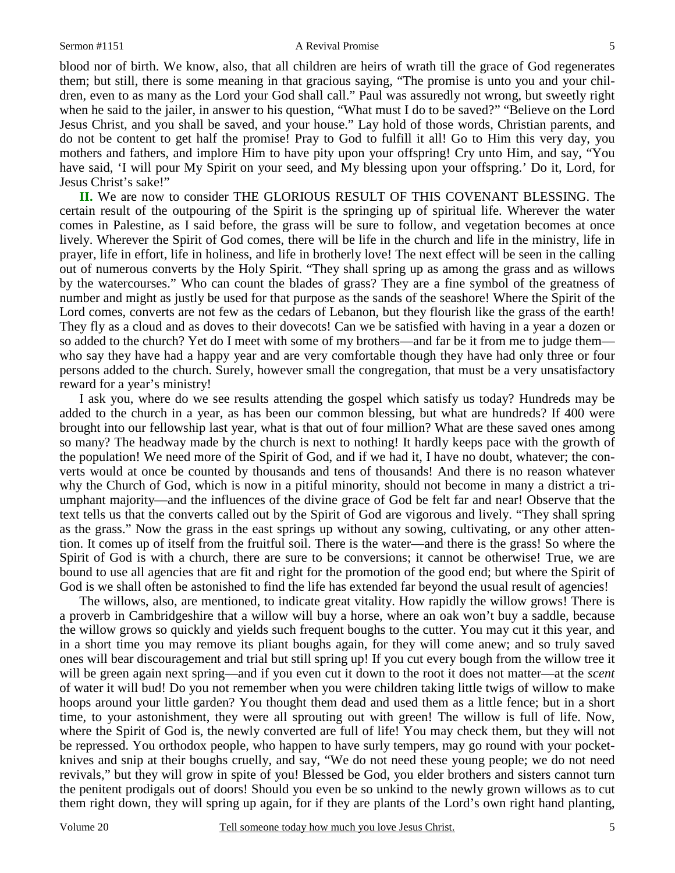blood nor of birth. We know, also, that all children are heirs of wrath till the grace of God regenerates them; but still, there is some meaning in that gracious saying, "The promise is unto you and your children, even to as many as the Lord your God shall call." Paul was assuredly not wrong, but sweetly right when he said to the jailer, in answer to his question, "What must I do to be saved?" "Believe on the Lord Jesus Christ, and you shall be saved, and your house." Lay hold of those words, Christian parents, and do not be content to get half the promise! Pray to God to fulfill it all! Go to Him this very day, you mothers and fathers, and implore Him to have pity upon your offspring! Cry unto Him, and say, "You have said, 'I will pour My Spirit on your seed, and My blessing upon your offspring.' Do it, Lord, for Jesus Christ's sake!"

**II.** We are now to consider THE GLORIOUS RESULT OF THIS COVENANT BLESSING. The certain result of the outpouring of the Spirit is the springing up of spiritual life. Wherever the water comes in Palestine, as I said before, the grass will be sure to follow, and vegetation becomes at once lively. Wherever the Spirit of God comes, there will be life in the church and life in the ministry, life in prayer, life in effort, life in holiness, and life in brotherly love! The next effect will be seen in the calling out of numerous converts by the Holy Spirit. "They shall spring up as among the grass and as willows by the watercourses." Who can count the blades of grass? They are a fine symbol of the greatness of number and might as justly be used for that purpose as the sands of the seashore! Where the Spirit of the Lord comes, converts are not few as the cedars of Lebanon, but they flourish like the grass of the earth! They fly as a cloud and as doves to their dovecots! Can we be satisfied with having in a year a dozen or so added to the church? Yet do I meet with some of my brothers—and far be it from me to judge them who say they have had a happy year and are very comfortable though they have had only three or four persons added to the church. Surely, however small the congregation, that must be a very unsatisfactory reward for a year's ministry!

I ask you, where do we see results attending the gospel which satisfy us today? Hundreds may be added to the church in a year, as has been our common blessing, but what are hundreds? If 400 were brought into our fellowship last year, what is that out of four million? What are these saved ones among so many? The headway made by the church is next to nothing! It hardly keeps pace with the growth of the population! We need more of the Spirit of God, and if we had it, I have no doubt, whatever; the converts would at once be counted by thousands and tens of thousands! And there is no reason whatever why the Church of God, which is now in a pitiful minority, should not become in many a district a triumphant majority—and the influences of the divine grace of God be felt far and near! Observe that the text tells us that the converts called out by the Spirit of God are vigorous and lively. "They shall spring as the grass." Now the grass in the east springs up without any sowing, cultivating, or any other attention. It comes up of itself from the fruitful soil. There is the water—and there is the grass! So where the Spirit of God is with a church, there are sure to be conversions; it cannot be otherwise! True, we are bound to use all agencies that are fit and right for the promotion of the good end; but where the Spirit of God is we shall often be astonished to find the life has extended far beyond the usual result of agencies!

The willows, also, are mentioned, to indicate great vitality. How rapidly the willow grows! There is a proverb in Cambridgeshire that a willow will buy a horse, where an oak won't buy a saddle, because the willow grows so quickly and yields such frequent boughs to the cutter. You may cut it this year, and in a short time you may remove its pliant boughs again, for they will come anew; and so truly saved ones will bear discouragement and trial but still spring up! If you cut every bough from the willow tree it will be green again next spring—and if you even cut it down to the root it does not matter—at the *scent* of water it will bud! Do you not remember when you were children taking little twigs of willow to make hoops around your little garden? You thought them dead and used them as a little fence; but in a short time, to your astonishment, they were all sprouting out with green! The willow is full of life. Now, where the Spirit of God is, the newly converted are full of life! You may check them, but they will not be repressed. You orthodox people, who happen to have surly tempers, may go round with your pocketknives and snip at their boughs cruelly, and say, "We do not need these young people; we do not need revivals," but they will grow in spite of you! Blessed be God, you elder brothers and sisters cannot turn the penitent prodigals out of doors! Should you even be so unkind to the newly grown willows as to cut them right down, they will spring up again, for if they are plants of the Lord's own right hand planting,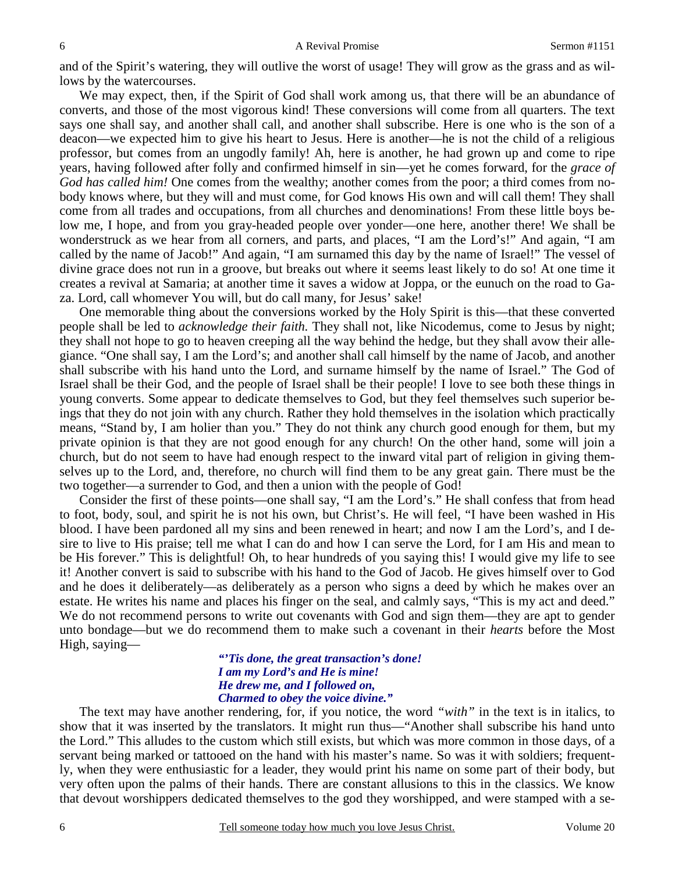and of the Spirit's watering, they will outlive the worst of usage! They will grow as the grass and as willows by the watercourses.

We may expect, then, if the Spirit of God shall work among us, that there will be an abundance of converts, and those of the most vigorous kind! These conversions will come from all quarters. The text says one shall say, and another shall call, and another shall subscribe. Here is one who is the son of a deacon—we expected him to give his heart to Jesus. Here is another—he is not the child of a religious professor, but comes from an ungodly family! Ah, here is another, he had grown up and come to ripe years, having followed after folly and confirmed himself in sin—yet he comes forward, for the *grace of God has called him!* One comes from the wealthy; another comes from the poor; a third comes from nobody knows where, but they will and must come, for God knows His own and will call them! They shall come from all trades and occupations, from all churches and denominations! From these little boys below me, I hope, and from you gray-headed people over yonder—one here, another there! We shall be wonderstruck as we hear from all corners, and parts, and places, "I am the Lord's!" And again, "I am called by the name of Jacob!" And again, "I am surnamed this day by the name of Israel!" The vessel of divine grace does not run in a groove, but breaks out where it seems least likely to do so! At one time it creates a revival at Samaria; at another time it saves a widow at Joppa, or the eunuch on the road to Gaza. Lord, call whomever You will, but do call many, for Jesus' sake!

One memorable thing about the conversions worked by the Holy Spirit is this—that these converted people shall be led to *acknowledge their faith.* They shall not, like Nicodemus, come to Jesus by night; they shall not hope to go to heaven creeping all the way behind the hedge, but they shall avow their allegiance. "One shall say, I am the Lord's; and another shall call himself by the name of Jacob, and another shall subscribe with his hand unto the Lord, and surname himself by the name of Israel." The God of Israel shall be their God, and the people of Israel shall be their people! I love to see both these things in young converts. Some appear to dedicate themselves to God, but they feel themselves such superior beings that they do not join with any church. Rather they hold themselves in the isolation which practically means, "Stand by, I am holier than you." They do not think any church good enough for them, but my private opinion is that they are not good enough for any church! On the other hand, some will join a church, but do not seem to have had enough respect to the inward vital part of religion in giving themselves up to the Lord, and, therefore, no church will find them to be any great gain. There must be the two together—a surrender to God, and then a union with the people of God!

Consider the first of these points—one shall say, "I am the Lord's." He shall confess that from head to foot, body, soul, and spirit he is not his own, but Christ's. He will feel, "I have been washed in His blood. I have been pardoned all my sins and been renewed in heart; and now I am the Lord's, and I desire to live to His praise; tell me what I can do and how I can serve the Lord, for I am His and mean to be His forever." This is delightful! Oh, to hear hundreds of you saying this! I would give my life to see it! Another convert is said to subscribe with his hand to the God of Jacob. He gives himself over to God and he does it deliberately—as deliberately as a person who signs a deed by which he makes over an estate. He writes his name and places his finger on the seal, and calmly says, "This is my act and deed." We do not recommend persons to write out covenants with God and sign them—they are apt to gender unto bondage—but we do recommend them to make such a covenant in their *hearts* before the Most High, saying—

## *"'Tis done, the great transaction's done! I am my Lord's and He is mine! He drew me, and I followed on, Charmed to obey the voice divine."*

 The text may have another rendering, for, if you notice, the word *"with"* in the text is in italics, to show that it was inserted by the translators. It might run thus—"Another shall subscribe his hand unto the Lord." This alludes to the custom which still exists, but which was more common in those days, of a servant being marked or tattooed on the hand with his master's name. So was it with soldiers; frequently, when they were enthusiastic for a leader, they would print his name on some part of their body, but very often upon the palms of their hands. There are constant allusions to this in the classics. We know that devout worshippers dedicated themselves to the god they worshipped, and were stamped with a se-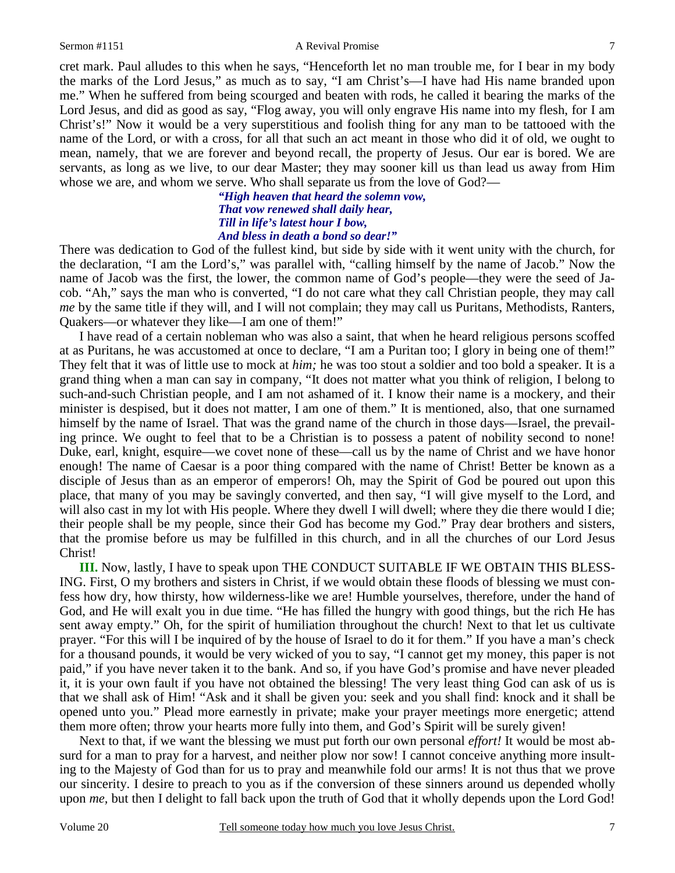#### Sermon #1151 A Revival Promise

cret mark. Paul alludes to this when he says, "Henceforth let no man trouble me, for I bear in my body the marks of the Lord Jesus," as much as to say, "I am Christ's—I have had His name branded upon me." When he suffered from being scourged and beaten with rods, he called it bearing the marks of the Lord Jesus, and did as good as say, "Flog away, you will only engrave His name into my flesh, for I am Christ's!" Now it would be a very superstitious and foolish thing for any man to be tattooed with the name of the Lord, or with a cross, for all that such an act meant in those who did it of old, we ought to mean, namely, that we are forever and beyond recall, the property of Jesus. Our ear is bored. We are servants, as long as we live, to our dear Master; they may sooner kill us than lead us away from Him whose we are, and whom we serve. Who shall separate us from the love of God?—

### *"High heaven that heard the solemn vow, That vow renewed shall daily hear, Till in life's latest hour I bow, And bless in death a bond so dear!"*

There was dedication to God of the fullest kind, but side by side with it went unity with the church, for the declaration, "I am the Lord's," was parallel with, "calling himself by the name of Jacob." Now the name of Jacob was the first, the lower, the common name of God's people—they were the seed of Jacob. "Ah," says the man who is converted, "I do not care what they call Christian people, they may call *me* by the same title if they will, and I will not complain; they may call us Puritans, Methodists, Ranters, Quakers—or whatever they like—I am one of them!"

I have read of a certain nobleman who was also a saint, that when he heard religious persons scoffed at as Puritans, he was accustomed at once to declare, "I am a Puritan too; I glory in being one of them!" They felt that it was of little use to mock at *him;* he was too stout a soldier and too bold a speaker. It is a grand thing when a man can say in company, "It does not matter what you think of religion, I belong to such-and-such Christian people, and I am not ashamed of it. I know their name is a mockery, and their minister is despised, but it does not matter, I am one of them." It is mentioned, also, that one surnamed himself by the name of Israel. That was the grand name of the church in those days—Israel, the prevailing prince. We ought to feel that to be a Christian is to possess a patent of nobility second to none! Duke, earl, knight, esquire—we covet none of these—call us by the name of Christ and we have honor enough! The name of Caesar is a poor thing compared with the name of Christ! Better be known as a disciple of Jesus than as an emperor of emperors! Oh, may the Spirit of God be poured out upon this place, that many of you may be savingly converted, and then say, "I will give myself to the Lord, and will also cast in my lot with His people. Where they dwell I will dwell; where they die there would I die; their people shall be my people, since their God has become my God." Pray dear brothers and sisters, that the promise before us may be fulfilled in this church, and in all the churches of our Lord Jesus Christ!

**III.** Now, lastly, I have to speak upon THE CONDUCT SUITABLE IF WE OBTAIN THIS BLESS-ING. First, O my brothers and sisters in Christ, if we would obtain these floods of blessing we must confess how dry, how thirsty, how wilderness-like we are! Humble yourselves, therefore, under the hand of God, and He will exalt you in due time. "He has filled the hungry with good things, but the rich He has sent away empty." Oh, for the spirit of humiliation throughout the church! Next to that let us cultivate prayer. "For this will I be inquired of by the house of Israel to do it for them." If you have a man's check for a thousand pounds, it would be very wicked of you to say, "I cannot get my money, this paper is not paid," if you have never taken it to the bank. And so, if you have God's promise and have never pleaded it, it is your own fault if you have not obtained the blessing! The very least thing God can ask of us is that we shall ask of Him! "Ask and it shall be given you: seek and you shall find: knock and it shall be opened unto you." Plead more earnestly in private; make your prayer meetings more energetic; attend them more often; throw your hearts more fully into them, and God's Spirit will be surely given!

Next to that, if we want the blessing we must put forth our own personal *effort!* It would be most absurd for a man to pray for a harvest, and neither plow nor sow! I cannot conceive anything more insulting to the Majesty of God than for us to pray and meanwhile fold our arms! It is not thus that we prove our sincerity. I desire to preach to you as if the conversion of these sinners around us depended wholly upon *me,* but then I delight to fall back upon the truth of God that it wholly depends upon the Lord God!